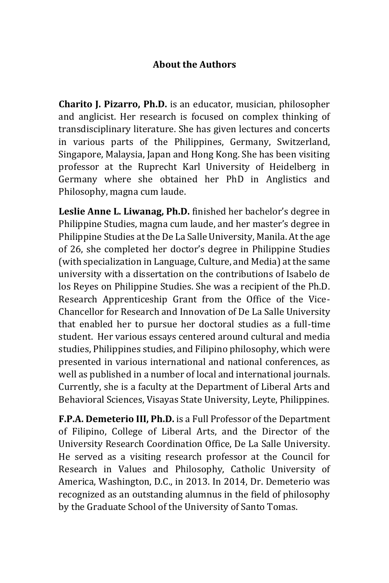## **About the Authors**

**Charito J. Pizarro, Ph.D.** is an educator, musician, philosopher and anglicist. Her research is focused on complex thinking of transdisciplinary literature. She has given lectures and concerts in various parts of the Philippines, Germany, Switzerland, Singapore, Malaysia, Japan and Hong Kong. She has been visiting professor at the Ruprecht Karl University of Heidelberg in Germany where she obtained her PhD in Anglistics and Philosophy, magna cum laude.

**Leslie Anne L. Liwanag, Ph.D.** finished her bachelor's degree in Philippine Studies, magna cum laude, and her master's degree in Philippine Studies at the De La Salle University, Manila. At the age of 26, she completed her doctor's degree in Philippine Studies (with specialization in Language, Culture, and Media) at the same university with a dissertation on the contributions of Isabelo de los Reyes on Philippine Studies. She was a recipient of the Ph.D. Research Apprenticeship Grant from the Office of the Vice-Chancellor for Research and Innovation of De La Salle University that enabled her to pursue her doctoral studies as a full-time student. Her various essays centered around cultural and media studies, Philippines studies, and Filipino philosophy, which were presented in various international and national conferences, as well as published in a number of local and international journals. Currently, she is a faculty at the Department of Liberal Arts and Behavioral Sciences, Visayas State University, Leyte, Philippines.

**F.P.A. Demeterio III, Ph.D.** is a Full Professor of the Department of Filipino, College of Liberal Arts, and the Director of the University Research Coordination Office, De La Salle University. He served as a visiting research professor at the Council for Research in Values and Philosophy, Catholic University of America, Washington, D.C., in 2013. In 2014, Dr. Demeterio was recognized as an outstanding alumnus in the field of philosophy by the Graduate School of the University of Santo Tomas.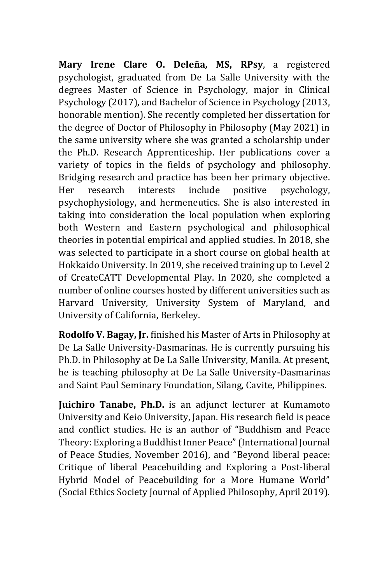**Mary Irene Clare O. Deleña, MS, RPsy**, a registered psychologist, graduated from De La Salle University with the degrees Master of Science in Psychology, major in Clinical Psychology (2017), and Bachelor of Science in Psychology (2013, honorable mention). She recently completed her dissertation for the degree of Doctor of Philosophy in Philosophy (May 2021) in the same university where she was granted a scholarship under the Ph.D. Research Apprenticeship. Her publications cover a variety of topics in the fields of psychology and philosophy. Bridging research and practice has been her primary objective. Her research interests include positive psychology, psychophysiology, and hermeneutics. She is also interested in taking into consideration the local population when exploring both Western and Eastern psychological and philosophical theories in potential empirical and applied studies. In 2018, she was selected to participate in a short course on global health at Hokkaido University. In 2019, she received training up to Level 2 of CreateCATT Developmental Play. In 2020, she completed a number of online courses hosted by different universities such as Harvard University, University System of Maryland, and University of California, Berkeley.

**Rodolfo V. Bagay, Jr.** finished his Master of Arts in Philosophy at De La Salle University-Dasmarinas. He is currently pursuing his Ph.D. in Philosophy at De La Salle University, Manila. At present, he is teaching philosophy at De La Salle University-Dasmarinas and Saint Paul Seminary Foundation, Silang, Cavite, Philippines.

**Juichiro Tanabe, Ph.D.** is an adjunct lecturer at Kumamoto University and Keio University, Japan. His research field is peace and conflict studies. He is an author of "Buddhism and Peace Theory: Exploring a Buddhist Inner Peace" (International Journal of Peace Studies, November 2016), and "Beyond liberal peace: Critique of liberal Peacebuilding and Exploring a Post-liberal Hybrid Model of Peacebuilding for a More Humane World" (Social Ethics Society Journal of Applied Philosophy, April 2019).